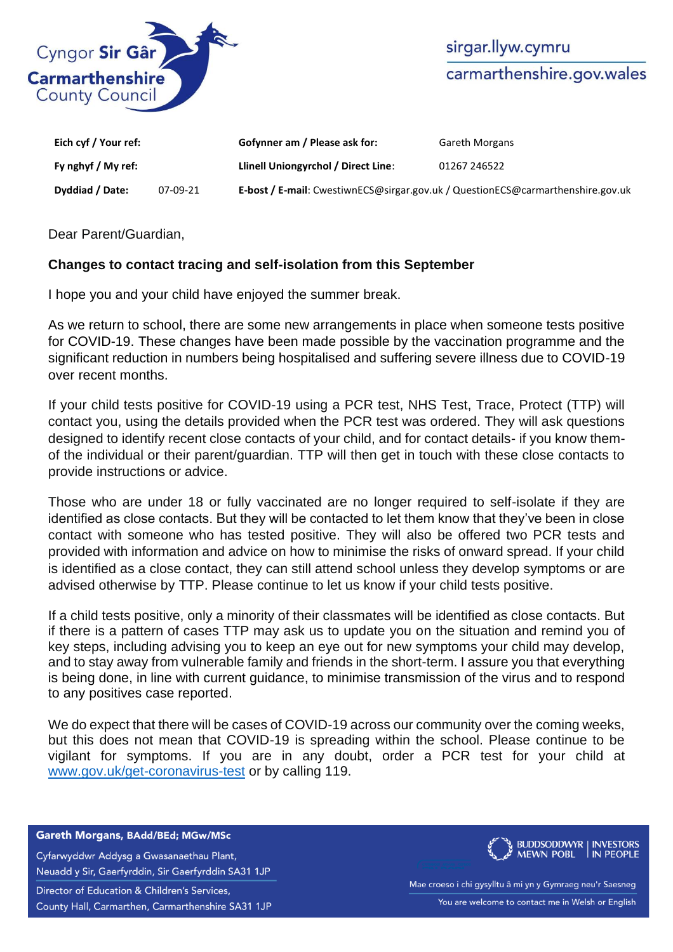

| Eich cyf / Your ref: |          | Gofynner am / Please ask for:                                                   | <b>Gareth Morgans</b> |
|----------------------|----------|---------------------------------------------------------------------------------|-----------------------|
| Fy nghyf / My ref:   |          | Llinell Uniongyrchol / Direct Line:                                             | 01267 246522          |
| Dyddiad / Date:      | 07-09-21 | E-bost / E-mail: CwestiwnECS@sirgar.gov.uk / QuestionECS@carmarthenshire.gov.uk |                       |

Dear Parent/Guardian,

## **Changes to contact tracing and self-isolation from this September**

I hope you and your child have enjoyed the summer break.

As we return to school, there are some new arrangements in place when someone tests positive for COVID-19. These changes have been made possible by the vaccination programme and the significant reduction in numbers being hospitalised and suffering severe illness due to COVID-19 over recent months.

If your child tests positive for COVID-19 using a PCR test, NHS Test, Trace, Protect (TTP) will contact you, using the details provided when the PCR test was ordered. They will ask questions designed to identify recent close contacts of your child, and for contact details- if you know themof the individual or their parent/guardian. TTP will then get in touch with these close contacts to provide instructions or advice.

Those who are under 18 or fully vaccinated are no longer required to self-isolate if they are identified as close contacts. But they will be contacted to let them know that they've been in close contact with someone who has tested positive. They will also be offered two PCR tests and provided with information and advice on how to minimise the risks of onward spread. If your child is identified as a close contact, they can still attend school unless they develop symptoms or are advised otherwise by TTP. Please continue to let us know if your child tests positive.

If a child tests positive, only a minority of their classmates will be identified as close contacts. But if there is a pattern of cases TTP may ask us to update you on the situation and remind you of key steps, including advising you to keep an eye out for new symptoms your child may develop, and to stay away from vulnerable family and friends in the short-term. I assure you that everything is being done, in line with current guidance, to minimise transmission of the virus and to respond to any positives case reported.

We do expect that there will be cases of COVID-19 across our community over the coming weeks, but this does not mean that COVID-19 is spreading within the school. Please continue to be vigilant for symptoms. If you are in any doubt, order a PCR test for your child at [www.gov.uk/get-coronavirus-test](http://www.gov.uk/getcoronavirustest) or by calling 119.

## Gareth Morgans, BAdd/BEd; MGw/MSc

Cyfarwyddwr Addysg a Gwasanaethau Plant, Neuadd y Sir, Gaerfyrddin, Sir Gaerfyrddin SA31 1JP Director of Education & Children's Services, County Hall, Carmarthen, Carmarthenshire SA31 1JP



Mae croeso i chi gysylltu â mi yn y Gymraeg neu'r Saesneg You are welcome to contact me in Welsh or English